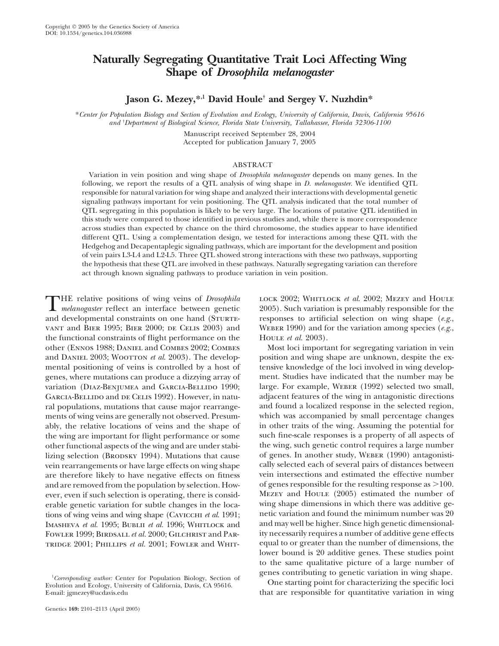# **Naturally Segregating Quantitative Trait Loci Affecting Wing Shape of** *Drosophila melanogaster*

**Jason G. Mezey,\*,1 David Houle† and Sergey V. Nuzhdin\***

\**Center for Population Biology and Section of Evolution and Ecology, University of California, Davis, California 95616 and* † *Department of Biological Science, Florida State University, Tallahassee, Florida 32306-1100*

> Manuscript received September 28, 2004 Accepted for publication January 7, 2005

### ABSTRACT

Variation in vein position and wing shape of *Drosophila melanogaster* depends on many genes. In the following, we report the results of a QTL analysis of wing shape in *D. melanogaster*. We identified QTL responsible for natural variation for wing shape and analyzed their interactions with developmental genetic signaling pathways important for vein positioning. The QTL analysis indicated that the total number of QTL segregating in this population is likely to be very large. The locations of putative QTL identified in this study were compared to those identified in previous studies and, while there is more correspondence across studies than expected by chance on the third chromosome, the studies appear to have identified different QTL. Using a complementation design, we tested for interactions among these QTL with the Hedgehog and Decapentaplegic signaling pathways, which are important for the development and position of vein pairs L3-L4 and L2-L5. Three QTL showed strong interactions with these two pathways, supporting the hypothesis that these QTL are involved in these pathways. Naturally segregating variation can therefore act through known signaling pathways to produce variation in vein position.

THE relative positions of wing veins of *Drosophila* LOCK 2002; WHITLOCK *et al.* 2002; MEZEY and HOULE melanogaster reflect an interface between genetic 2005). Such variation is presumably responsible for the condition an and developmental constraints on one hand (STURTE- responses to artificial selection on wing shape (*e.g.*, vant and Bier 1995; Bier 2000; de Celis 2003) and Weber 1990) and for the variation among species (*e.g.*, the functional constraints of flight performance on the Houle *et al.* 2003). other (ENNOS 1988; DANIEL and COMBES 2002; COMBES Most loci important for segregating variation in vein and Daniel 2003; Wootton *et al.* 2003). The develop- position and wing shape are unknown, despite the exmental positioning of veins is controlled by a host of tensive knowledge of the loci involved in wing developgenes, where mutations can produce a dizzying array of ment. Studies have indicated that the number may be variation (DIAZ-BENJUMEA and GARCIA-BELLIDO 1990; large. For example, WEBER (1992) selected two small, GARCIA-BELLIDO and DE CELIS 1992). However, in natu- adjacent features of the wing in antagonistic directions ral populations, mutations that cause major rearrange- and found a localized response in the selected region, ments of wing veins are generally not observed. Presum- which was accompanied by small percentage changes ments of wing veins are generally not observed. Presumably, the relative locations of veins and the shape of in other traits of the wing. Assuming the potential for the wing are important for flight performance or some such fine-scale responses is a property of all aspects of other functional aspects of the wing and are under stabi-<br>the wing, such genetic control requires a large numb other functional aspects of the wing and are under stabilizing selection (BRODSKY 1994). Mutations that cause of genes. In another study, WEBER (1990) antagonistivein rearrangements or have large effects on wing shape cally selected each of several pairs of distances between are therefore likely to have negative effects on fitness vein intersections and estimated the effective number<br>and are removed from the population by selection. How of genes responsible for the resulting response as  $>100$ and are removed from the population by selection. However, even if such selection is operating, there is consid-<br>MEZEY and HOULE (2005) estimated the number of erable genetic variation for subtle changes in the loca- wing shape dimensions in which there was additive getions of wing veins and wing shape (CAVICCHI *et al.* 1991; netic variation and found the minimum number was 20<br>IMASHEVA *et al.* 1995: BUBLII *et al.* 1996: WHITLOCK and and may well be higher. Since high genetic dimensio IMASHEVA *et al.* 1995; BUBLII *et al.* 1996; WHITLOCK and FOWLER 1999; BIRDSALL *et al.* 2000; GILCHRIST and PAR- ity necessarily requires a number of additive gene effects TRIDGE 2001; PHILLIPS *et al.* 2001; FOWLER and WHIT- equal to or greater than the number of dimensions, th TRIDGE 2001; PHILLIPS *et al.* 2001; FOWLER and WHIT-

lower bound is 20 additive genes. These studies point to the same qualitative picture of a large number of <sup>1</sup>Corresponding author: Center for Population Biology, Section of genes contributing to genetic variation in wing shape.

E-mail: jgmezey@ucdavis.edu that are responsible for quantitative variation in wing

*Corresponding author:* Center for Population Biology, Section of One starting point for characterizing the specific loci Evolution and Ecology, University of California, Davis, CA 95616.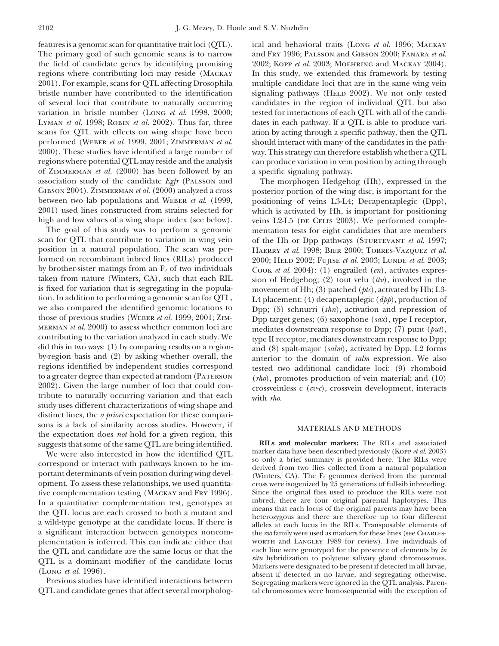of Zimmerman *et al.* (2000) has been followed by an a specific signaling pathway. association study of the candidate *Egfr* (Palsson and The morphogen Hedgehog (Hh), expressed in the

scan for QTL that contribute to variation in wing vein of the Hh or Dpp pathways (STURTEVANT *et al.* 1997; position in a natural population. The scan was per-<br>HAERRY *et al.* 1998; BIER 2000; TORRES-VAZQUEZ *et al.* position in a natural population. The scan was per-<br>
formed on recombinant inbred lines (RILs) produced<br>
2000: HELD 2002: FUIISE *et al.* 2003: LUNDE *et al.* 2003: formed on recombinant inbred lines (RILs) produced 2000; HELD 2002; Fujise *et al.* 2003; Lunde *et al.* 2003; by brother-sister matings from an  $F_2$  of two individuals Cook *et al.* 2004): (1) engrailed *(en*), activates by brother-sister matings from an F<sub>2</sub> of two individuals Cook *et al.* 2004): (1) engrailed *(en*), activates expres-<br>taken from nature (Winters, CA), such that each RIL sion of Hedgehog: (2) tout velu *(ttv*), involved i taken from nature (Winters, CA), such that each RIL sion of Hedgehog; (2) tout velu (*ttv*), involved in the is fixed for variation that is segregating in the popula-<br>movement of Hh: (3) patched (*btc*), activated by Hh: [ is fixed for variation that is segregating in the popula- movement of Hh; (3) patched (*ptc*), activated by Hh; L3 tion. In addition to performing a genomic scan for QTL,<br>we also compared the identified genomic locations to Dop: (5) schnurri (*shn*), activation and repression of we also compared the identified genomic locations to Dpp; (5) schnurri (*shn*), activation and repression of those of previous studies (WEBER *et al.* 1999, 2001; ZIM-<br>Don target genes: (6) saxophone (*sax*), type I recept those of previous studies (WEBER *et al.* 1999, 2001; ZIM-<br>MERMAN *et al.* 2000) to assess whether common loci are mediates downstream response to Dpp: (7) punt (*but*) merman *et al.* 2000) to assess whether common loci are mediates downstream response to Dpp; (7) punt (*put*), contributing to the variation analyzed in each study. We true II receptor, mediates downstream response to Dpp; contributing to the variation analyzed in each study. We type II receptor, mediates downstream response to Dpp;<br>did this in two ways: (1) by comparing results on a region-<br>and (8) spalt-major (salm) activated by Dpp. I 2 did this in two ways: (1) by comparing results on a region-<br>by-region basis and (2) by asking whether overall, the<br>regions identified by independent studies correspond<br>to a greater degree than expected at random (PATERSON to a greater degree than expected at random (PATERSON  $(rho)$ ), promotes production of vein material; and (10) 2002). Given the large number of loci that could controllar conservations of wing shape and study uses different distinct lines, the *a priori* expectation for these comparisons is a lack of similarity across studies. However, if MATERIALS AND METHODS the expectation does *not* hold for a given region, this

opment. To assess these relationships, we used quantita- cross were isogenized by 25 generations of full-sib inbreeding. In a quantitative complementation test, genotypes at individual the CTL locus are each crossed to both a mutant and a wild-type genotype at the candidate locus. If there is a significant interaction between genotypes nonco

features is a genomic scan for quantitative trait loci (QTL). ical and behavioral traits (Long *et al.* 1996; Mackay The primary goal of such genomic scans is to narrow and Fry 1996; Palsson and Gibson 2000; Fanara *et al.* the field of candidate genes by identifying promising 2002; Kopp *et al.* 2003; MOEHRING and MACKAY 2004). regions where contributing loci may reside (Mackay In this study, we extended this framework by testing 2001). For example, scans for QTL affecting Drosophila multiple candidate loci that are in the same wing vein bristle number have contributed to the identification signaling pathways (HELD 2002). We not only tested of several loci that contribute to naturally occurring candidates in the region of individual QTL but also variation in bristle number (Long *et al.* 1998, 2000; tested for interactions of each QTL with all of the candi-Lyman *et al.* 1998; ROBIN *et al.* 2002). Thus far, three dates in each pathway. If a QTL is able to produce variscans for QTL with effects on wing shape have been ation by acting through a specific pathway, then the QTL performed (WEBER *et al.* 1999, 2001; ZIMMERMAN *et al.* should interact with many of the candidates in the path-<br>2000). These studies have identified a large number of way. This strategy can therefore establish whether a way. This strategy can therefore establish whether a QTL regions where potential QTL may reside and the analysis can produce variation in vein position by acting through

Gibson 2004). Zimmerman *et al*. (2000) analyzed a cross posterior portion of the wing disc, is important for the between two lab populations and Weber *et al*. (1999, positioning of veins L3-L4; Decapentaplegic (Dpp), 2001) used lines constructed from strains selected for which is activated by Hh, is important for positioning high and low values of a wing shape index (see below). veins L2-L5 (DE CELIS 2003). We performed comple-<br>The goal of this study was to perform a genomic mentation tests for eight candidates that are members mentation tests for eight candidates that are members

suggests that some of the same QTL are being identified. **RILs and molecular markers:** The RILs and associated We were also interested in how the identified QTL marker data have been described previously (KOPP *et al.* 2003)<br>so only a brief summary is provided here. The RILs were correspond or interact with pathways known to be im-<br>portant determinants of vein position during wing devel-<br>(Winters, CA). The  $F_2$  genomes derived from the parental tive complementation testing (MACKAY and FRY 1996). Since the original flies used to produce the RILs were not<br>In a quantitative complementation test genotypes at indired, there are four original parental haplotypes. This plementation is inferred. This can indicate either that worth and LANGLEY 1989 for review). Five individuals of the OTL and candidate are the same locus or that the each line were genotyped for the presence of elements by the QTL and candidate are the same locus or that the each line were genotyped for the presence of elements by *in*<br>
of the condidate locus situ hybridization to polytene salivary gland chromosomes. QTL is a dominant modifier of the candidate locus<br>(Long *et al.* 1996).<br>(Long *et al.* 1996).<br>Previous studies have identified interactions between<br>Previous studies have identified interactions between<br>Segregating markers QTL and candidate genes that affect several morpholog- tal chromosomes were homosequential with the exception of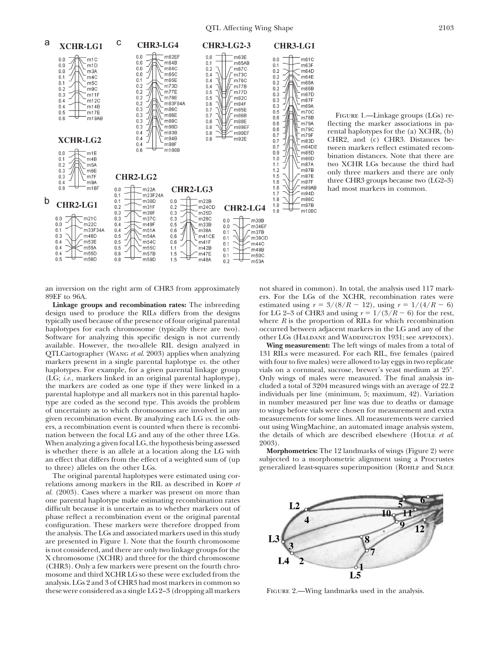

Figure 1.—Linkage groups (LGs) reflecting the marker associations in parental haplotypes for the (a) XCHR, (b) CHR2, and (c) CHR3. Distances between markers reflect estimated recombination distances. Note that there are two XCHR LGs because the third had only three markers and there are only three CHR3 groups because two (LG2–3) had most markers in common.

an inversion on the right arm of CHR3 from approximately not shared in common). In total, the analysis used 117 mark-<br>89EF to 96A. <br>89EF to 96A.

Linkage groups and recombination rates: The inbreeding design used to produce the RILs differs from the designs for LG 2–3 of CHR3 and using  $r = 1/(3/R - 6)$  for the rest, typically used because of the presence of four original parental where R is the proportion of RILs for whic typically used because of the presence of four original parental haplotypes for each chromosome (typically there are two). occurred between adjacent markers in the LG and any of the Software for analyzing this specific design is not currently other LGs (HALDANE and WADDINGTON 1931; see APPENDIX).<br>available. However, the two-allele RIL design analyzed in Wing measurement: The left wings of males from a available. However, the two-allele RIL design analyzed in **Wing measurement:** The left wings of males from a total of QTLCartographer (WANG *et al.* 2003) applies when analyzing 131 RILs were measured. For each RIL, five f QTLCartographer (Wang *et al*. 2003) applies when analyzing 131 RILs were measured. For each RIL, five females (paired markers present in a single parental haplotype *vs*. the other with four to five males) were allowed to lay eggs in two replicate haplotypes. For example, for a given parental linkage group vials on a cornmeal, sucrose, br haplotypes. For example, for a given parental linkage group vials on a cornmeal, sucrose, brewer's yeast medium at 25°.<br>(LG; *i.e.*, markers linked in an original parental haplotype), Only wings of males were measured. The  $(LG; i.e.,$  markers linked in an original parental haplotype), the markers are coded as one type if they were linked in a cluded a total of 3204 measured wings with an average of 22.2 parental haplotype and all markers not in this parental haplo-<br>individuals per line (minimum, 5; maxi type are coded as the second type. This avoids the problem of uncertainty as to which chromosomes are involved in any to wings before vials were chosen for measurement and extra given recombination event. By analyzing each LG *vs.* the oth- measurements for some lines. All measurements were carried ers, a recombination event is counted when there is recombi-<br>
out using WingMachine, an automated image analysis system,<br>
nation between the focal LG and any of the other three LGs.<br>
the details of which are described else nation between the focal LG and any of the other three LGs. When analyzing a given focal LG, the hypothesis being assessed 2003).<br>
is whether there is an allele at a location along the LG with **Morphometrics:** The 12 landmarks of wings (Figure 2) were is whether there is an allele at a location along the LG with an effect that differs from the effect of a weighted sum of (up subjected to a morphometric alignment using a Procrustes to three) alleles on the other LGs. generalized least-squares superimposition (ROHLF and SLICE

The original parental haplotypes were estimated using correlations among markers in the RIL as described in Kopp *et al.* (2003). Cases where a marker was present on more than one parental haplotype make estimating recombination rates difficult because it is uncertain as to whether markers out of phase reflect a recombination event or the original parental configuration. These markers were therefore dropped from the analysis. The LGs and associated markers used in this study are presented in Figure 1. Note that the fourth chromosome is not considered, and there are only two linkage groups for the X chromosome (XCHR) and three for the third chromosome (CHR3). Only a few markers were present on the fourth chromosome and third XCHR LG so these were excluded from the analysis. LGs 2 and 3 of CHR3 had most markers in common so these were considered as a single LG 2–3 (dropping all markers FIGURE 2.—Wing landmarks used in the analysis.

ers. For the LGs of the XCHR, recombination rates were  $= 3/(8/R - 12)$ , using  $r = 1/(4/R - 6)$ for LG 2–3 of CHR3 and using  $r = 1/(3/R - 6)$  for the rest,

individuals per line (minimum, 5; maximum, 42). Variation<br>in number measured per line was due to deaths or damage

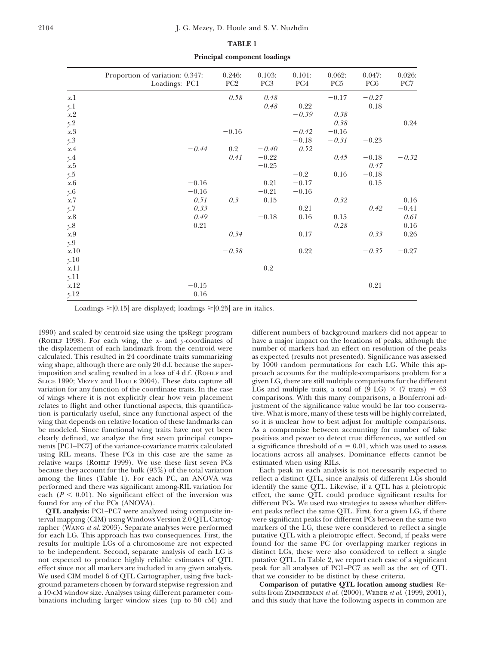| FARI E |  |
|--------|--|
|--------|--|

|                                     | Proportion of variation: 0.347:<br>Loadings: PC1 | 0.246:<br>PC <sub>2</sub> | 0.103:<br>PC <sub>3</sub> | 0.101:<br>${\rm PC4}$ | 0.062:<br>PC <sub>5</sub> | 0.047:<br>PC <sub>6</sub> | 0.026:<br>PC7 |
|-------------------------------------|--------------------------------------------------|---------------------------|---------------------------|-----------------------|---------------------------|---------------------------|---------------|
| x <sub>1</sub>                      |                                                  | 0.58                      | 0.48                      |                       | $-0.17$                   | $-0.27$                   |               |
| y.1                                 |                                                  |                           | 0.48                      | 0.22                  |                           | 0.18                      |               |
| $\boldsymbol{\mathcal{X}}\text{.}2$ |                                                  |                           |                           | $-0.39$               | 0.38                      |                           |               |
| y.2                                 |                                                  |                           |                           |                       | $-0.38$                   |                           | 0.24          |
| $x.3$                               |                                                  | $-0.16$                   |                           | $-0.42$               | $-0.16$                   |                           |               |
| y.3                                 |                                                  |                           |                           | $-0.18$               | $-0.31$                   | $-0.23$                   |               |
| x.4                                 | $-0.44$                                          | 0.2                       | $-0.40$                   | 0.52                  |                           |                           |               |
| y.4                                 |                                                  | 0.41                      | $-0.22$                   |                       | 0.45                      | $-0.18$                   | $-0.32$       |
| $x.5$                               |                                                  |                           | $-0.25$                   |                       |                           | 0.47                      |               |
| y.5                                 |                                                  |                           |                           | $-0.2$                | 0.16                      | $-0.18$                   |               |
| x.6                                 | $-0.16$                                          |                           | 0.21                      | $-0.17$               |                           | 0.15                      |               |
| y.6                                 | $-0.16$                                          |                           | $-0.21$                   | $-0.16$               |                           |                           |               |
| x.7                                 | 0.51                                             | 0.3                       | $-0.15$                   |                       | $-0.32$                   |                           | $-0.16$       |
| y.7                                 | 0.33                                             |                           |                           | 0.21                  |                           | 0.42                      | $-0.41$       |
| x.8                                 | 0.49                                             |                           | $-0.18$                   | 0.16                  | 0.15                      |                           | 0.61          |
| y.8                                 | 0.21                                             |                           |                           |                       | 0.28                      |                           | 0.16          |
| $x\textbf{.}9$                      |                                                  | $-0.34$                   |                           | 0.17                  |                           | $-0.33$                   | $-0.26$       |
| y.9                                 |                                                  |                           |                           |                       |                           |                           |               |
| x.10                                |                                                  | $-0.38$                   |                           | 0.22                  |                           | $-0.35$                   | $-0.27$       |
| y.10                                |                                                  |                           |                           |                       |                           |                           |               |
| x.11                                |                                                  |                           | 0.2                       |                       |                           |                           |               |
| y.11                                |                                                  |                           |                           |                       |                           |                           |               |
| x.12                                | $-0.15$                                          |                           |                           |                       |                           | 0.21                      |               |
| y.12                                | $-0.16$                                          |                           |                           |                       |                           |                           |               |

**Principal component loadings**

Loadings  $\geq$  [0.15] are displayed; loadings  $\geq$  [0.25] are in italics.

1990) and scaled by centroid size using the tpsRegr program different numbers of background markers did not appear to (ROHLF 1998). For each wing, the  $x$ - and  $y$ -coordinates of have a major impact on the locations of pe (ROHLF 1998). For each wing, the *x*- and *y*-coordinates of the displacement of each landmark from the centroid were number of markers had an effect on resolution of the peaks calculated. This resulted in 24 coordinate traits summarizing as expected (results not presented). Significance was assessed wing shape, although there are only 20 d.f. because the super-<br>by 1000 random permutations for each LG. While this apimposition and scaling resulted in a loss of 4 d.f. (ROHLF and proach accounts for the multiple-comparisons problem for a Slice 1990; Mezey and Houle 2004). These data capture all given LG, there are still multiple comparisons for the different variation for any function of the coordinate traits. In the case of wings where it is not explicitly clear how vein placement comparisons. With this many comparisons, a Bonferroni adrelates to flight and other functional aspects, this quantifica- justment of the significance value would be far too conservation is particularly useful, since any functional aspect of the tive. What is more, many of these tests will be highly correlated, wing that depends on relative location of these landmarks can so it is unclear how to best wing that depends on relative location of these landmarks can be modeled. Since functional wing traits have not yet been As a compromise between accounting for number of false clearly defined, we analyze the first seven principal compo- positives and power to detect true differences, we settled on nents [PC1–PC7] of the variance-covariance matrix calculated a significance threshold of  $\alpha = 0.01$ , which was used to assess using RIL means. These PCs in this case are the same as locations across all analyses. Dominanc using RIL means. These PCs in this case are the same as locations across all analyse relative warps (ROHLF 1999). We use these first seven PCs estimated when using RILs. relative warps (ROHLF 1999). We use these first seven PCs estimated when using RILs.<br>because they account for the bulk (93%) of the total variation Each peak in each analysis is not necessarily expected to because they account for the bulk (93%) of the total variation Each peak in each analysis is not necessarily expected to among the lines (Table 1). For each PC, an ANOVA was reflect a distinct OTL, since analysis of differ among the lines (Table 1). For each PC, an ANOVA was performed and there was significant among-RIL variation for identify the same QTL. Likewise, if a QTL has a pleiotropic each  $(P \le 0.01)$ . No significant effect of the inversion was effect, the same QTL could produce significant results for

terval mapping (CIM) using Windows Version 2.0 QTL Cartographer (Wang *et al*. 2003). Separate analyses were performed markers of the LG, these were considered to reflect a single for each LG. This approach has two consequences. First, the putative QTL with a pleiotropic effect. Second, if peaks were results for multiple LGs of a chromosome are not expected found for the same PC for overlapping mark results for multiple LGs of a chromosome are not expected found for the same PC for overlapping marker regions in<br>to be independent. Second, separate analysis of each LG is distinct LGs, these were also considered to refle to be independent. Second, separate analysis of each LG is not expected to produce highly reliable estimates of QTL putative QTL. In Table 2, we report each case of a significant effect since not all markers are included in any given analysis. peak for all analyses of PC1–PC7 as w effect since not all markers are included in any given analysis. We used CIM model 6 of QTL Cartographer, using five back-<br>that we consider to be distinct by these criteria. ground parameters chosen by forward stepwise regression and **Comparison of putative QTL location among studies:** Rea 10-cM window size. Analyses using different parameter com- sults from Zimmerman *et al.* (2000), Weber *et al*. (1999, 2001), binations including larger window sizes (up to  $50 \text{ cM}$ ) and

LGs and multiple traits, a total of  $(9 \text{ LG}) \times (7 \text{ traits}) = 63$ a significance threshold of  $\alpha = 0.01$ , which was used to assess

found for any of the PCs (ANOVA).<br> **QTL analysis:** PC1–PC7 were analyzed using composite in-<br> **Call analysis:** PC1–PC7 were analyzed using composite in-<br> **Call analysis:** PC1–PC7 were analyzed using composite in-<br> **Call an** ent peaks reflect the same QTL. First, for a given LG, if there were significant peaks for different PCs between the same two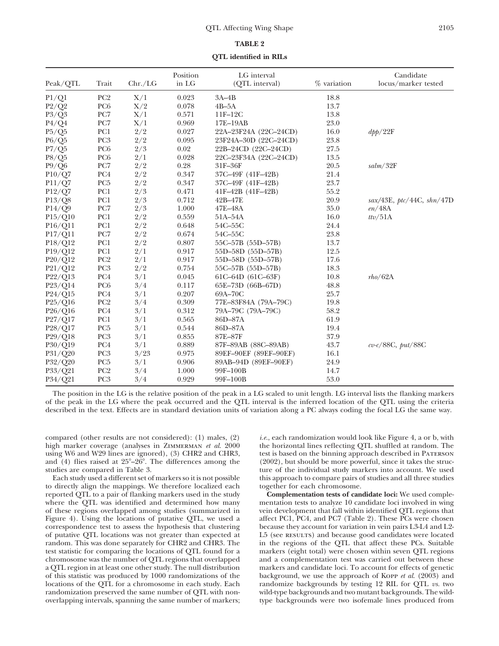### **TABLE 2**

**QTL identified in RILs**

| Peak/QTL | Trait                | Chr./LG      | Position<br>in LG | LG interval<br>(QTL interval) | % variation | Candidate<br>locus/marker tested |
|----------|----------------------|--------------|-------------------|-------------------------------|-------------|----------------------------------|
| P1/Q1    | PC <sub>2</sub>      | X/1          | 0.023             | $3A-4B$                       | 18.8        |                                  |
| P2/Q2    | PC <sub>6</sub>      | X/2          | 0.078             | $4B-5A$                       | 13.7        |                                  |
| P3/Q3    | $\operatorname{PC}7$ | X/1          | 0.571             | $11F-12C$                     | 13.8        |                                  |
| P4/Q4    | PC7                  | X/1          | 0.969             | 17E-19AB                      | 23.0        |                                  |
| P5/Q5    | PC1                  | $2/\sqrt{2}$ | 0.027             | 22A-23F24A (22C-24CD)         | 16.0        | dpp/22F                          |
| P6/Q5    | PC <sub>3</sub>      | $2/\sqrt{2}$ | 0.095             | 23F24A-30D (22C-24CD)         | 23.8        |                                  |
| P7/Q5    | PC <sub>6</sub>      | 2/3          | 0.02              | 22B-24CD (22C-24CD)           | 27.5        |                                  |
| P8/Q5    | PC <sub>6</sub>      | 2/1          | 0.028             | 22C-23F34A (22C-24CD)         | 13.5        |                                  |
| P9/Q6    | PC7                  | 2/2          | 0.28              | 31F-36F                       | 20.5        | salm/32F                         |
| P10/Q7   | ${\rm PC4}$          | $2/\sqrt{2}$ | 0.347             | 37C-49F (41F-42B)             | 21.4        |                                  |
| P11/Q7   | PC <sub>5</sub>      | $2/\sqrt{2}$ | 0.347             | 37C-49F (41F-42B)             | 23.7        |                                  |
| P12/Q7   | PC <sub>1</sub>      | 2/3          | 0.471             | 41F-42B (41F-42B)             | 55.2        |                                  |
| P13/Q8   | PC <sub>1</sub>      | 2/3          | 0.712             | 42B-47E                       | 20.9        | sax/43E, ptc/44C, shn/47D        |
| P14/Q9   | PC7                  | 2/3          | 1.000             | 47E-48A                       | 35.0        | en/48A                           |
| P15/Q10  | PC1                  | $2/\sqrt{2}$ | 0.559             | 51A-54A                       | 16.0        | ttv/51A                          |
| P16/Q11  | PC1                  | $2/\sqrt{2}$ | 0.648             | 54C-55C                       | 24.4        |                                  |
| P17/Q11  | PC7                  | 2/2          | 0.674             | 54C-55C                       | 23.8        |                                  |
| P18/Q12  | PC1                  | $2/\sqrt{2}$ | $0.807\,$         | 55C-57B (55D-57B)             | 13.7        |                                  |
| P19/Q12  | PC <sub>1</sub>      | 2/1          | 0.917             | 55D-58D (55D-57B)             | 12.5        |                                  |
| P20/Q12  | PC <sub>2</sub>      | 2/1          | 0.917             | 55D-58D (55D-57B)             | 17.6        |                                  |
| P21/Q12  | PC <sub>3</sub>      | 2/2          | 0.754             | 55C-57B (55D-57B)             | 18.3        |                                  |
| P22/Q13  | PC4                  | 3/1          | 0.045             | $61C-64D(61C-63F)$            | 10.8        | rho/62A                          |
| P23/Q14  | PC <sub>6</sub>      | 3/4          | 0.117             | 65E-73D (66B-67D)             | 48.8        |                                  |
| P24/Q15  | PC4                  | 3/1          | 0.207             | 69A-70C                       | 25.7        |                                  |
| P25/Q16  | PC <sub>2</sub>      | 3/4          | 0.309             | 77E-83F84A (79A-79C)          | 19.8        |                                  |
| P26/Q16  | PC <sub>4</sub>      | 3/1          | 0.312             | 79A-79C (79A-79C)             | 58.2        |                                  |
| P27/Q17  | PC <sub>1</sub>      | 3/1          | 0.565             | 86D-87A                       | 61.9        |                                  |
| P28/Q17  | PC <sub>5</sub>      | 3/1          | 0.544             | 86D-87A                       | 19.4        |                                  |
| P29/Q18  | PC <sub>3</sub>      | 3/1          | 0.855             | 87E-87F                       | 37.9        |                                  |
| P30/Q19  | PC4                  | 3/1          | 0.889             | 87F-89AB (88C-89AB)           | 43.7        | $cv-c/88C$ , put/88C             |
| P31/Q20  | PC <sub>3</sub>      | 3/23         | 0.975             | 89EF-90EF (89EF-90EF)         | 16.1        |                                  |
| P32/Q20  | PC <sub>5</sub>      | 3/1          | 0.906             | 89AB-94D (89EF-90EF)          | 24.9        |                                  |
| P33/Q21  | PC <sub>2</sub>      | 3/4          | 1.000             | 99F-100B                      | 14.7        |                                  |
| P34/Q21  | PC <sub>3</sub>      | 3/4          | 0.929             | 99F-100B                      | 53.0        |                                  |

The position in the LG is the relative position of the peak in a LG scaled to unit length. LG interval lists the flanking markers of the peak in the LG where the peak occurred and the QTL interval is the inferred location of the QTL using the criteria described in the text. Effects are in standard deviation units of variation along a PC always coding the focal LG the same way.

compared (other results are not considered): (1) males, (2) *i.e.*, each randomization would look like Figure 4, a or b, with high marker coverage (analyses in ZIMMERMAN *et al.* 2000 the horizontal lines reflecting QTL shuffled at random. The using W6 and W29 lines are ignored), (3) CHR2 and CHR3, test is based on the binning approach described in Paterson and (4) flies raised at  $25^{\circ} - 26^{\circ}$ . The differences among the (2002), but should be more powerful, since it takes the strucstudies are compared in Table 3. ture of the individual study markers into account. We used

to directly align the mappings. We therefore localized each together for each chromosome. reported QTL to a pair of flanking markers used in the study **Complementation tests of candidate loci:** We used complewhere the QTL was identified and determined how many mentation tests to analyze 10 candidate loci involved in wing of these regions overlapped among studies (summarized in vein development that fall within identified QTL regions that Figure 4). Using the locations of putative QTL, we used a affect PC1, PC4, and PC7 (Table 2). These PCs were chosen correspondence test to assess the hypothesis that clustering because they account for variation in vein pairs L3-L4 and L2 of putative QTL locations was not greater than expected at L5 (see results) and because good candidates were located random. This was done separately for CHR2 and CHR3. The test statistic for comparing the locations of QTL found for a markers (eight total) were chosen within seven QTL regions chromosome was the number of QTL regions that overlapped and a complementation test was carried out b chromosome was the number of QTL regions that overlapped a QTL region in at least one other study. The null distribution markers and candidate loci. To account for effects of genetic of this statistic was produced by 1000 randomizations of the background, we use the approach of Kopp *et al*. (2003) and locations of the QTL for a chromosome in each study. Each randomize backgrounds by testing 12 RIL for QTL *vs.* two randomization preserved the same number of QTL with non-<br>overlapping intervals, spanning the same number of markers; type backgrounds were two isofemale lines produced from overlapping intervals, spanning the same number of markers;

Each study used a different set of markers so it is not possible this approach to compare pairs of studies and all three studies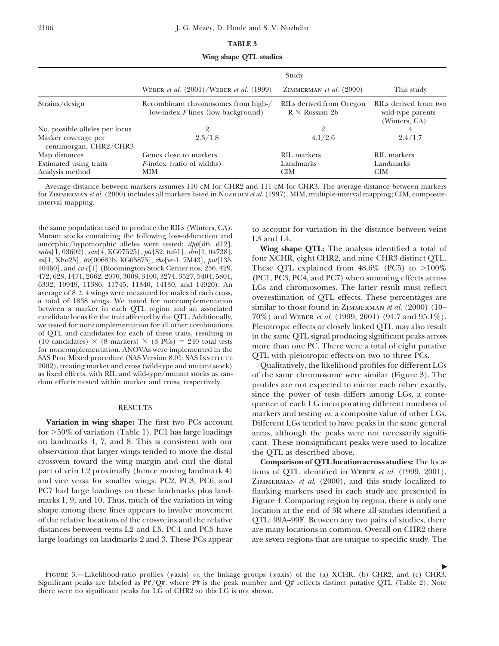## **TABLE 3**

**Wing shape QTL studies**

|                                               |                                                                             | Study                                             |                                                             |  |
|-----------------------------------------------|-----------------------------------------------------------------------------|---------------------------------------------------|-------------------------------------------------------------|--|
|                                               | WEBER <i>et al.</i> $(2001)/$ WEBER <i>et al.</i> $(1999)$                  | ZIMMERMAN et al. $(2000)$                         | This study                                                  |  |
| Strains/design                                | Recombinant chromosomes from high-/<br>low-index $F$ lines (low background) | RILs derived from Oregon<br>$R \times$ Russian 2b | RILs derived from two<br>wild-type parents<br>(Winters, CA) |  |
| No. possible alleles per locus                | 2                                                                           | 2                                                 | 4                                                           |  |
| Marker coverage per<br>centimorgan, CHR2/CHR3 | 2.3/1.8                                                                     | 4.1/2.6                                           | 2.4/1.7                                                     |  |
| Map distances                                 | Genes close to markers                                                      | <b>RIL</b> markers                                | RIL markers                                                 |  |
| Estimated using traits                        | <i>F</i> -index (ratio of widths)                                           | Landmarks                                         | Landmarks                                                   |  |
| Analysis method                               | <b>MIM</b>                                                                  | <b>CIM</b>                                        | <b>CIM</b>                                                  |  |

Average distance between markers assumes 110 cM for CHR2 and 111 cM for CHR3. The average distance between markers for ZIMMERMAN *et al.* (2000) includes all markers listed in NUZHDIN *et al.* (1997). MIM, multiple-interval mapping; CIM, compositeinterval mapping.

the same population used to produce the RILs (Winters, CA). to account for variation in the distance between veins Mutant stocks containing the following loss-of-function and  $\frac{1}{2}$  and  $\frac{1}{4}$ Mutant stocks containing the following loss-of-function and<br>
amorphic/hypomorphic alleles were tested:  $dpp[{\rm d}\theta, {\rm d}12]$ ,<br>  $salm[1, 03602]$ ,  $sax[4, {\rm KG07525}]$ ,  $ptc[{\rm S2, tuf-1}]$ ,  $shn[1, 04738]$ ,<br>  $en[1, {\rm Xho25}]$ ,  $ttv[00681b, {\rm KG$ 10460], and *cv-c*[1] (Bloomington Stock Center nos. 256, 429, These QTL explained from 48.6% (PC5) to  $>100\%$ <br>472, 628, 1471, 2062, 2070, 3008, 3100, 3274, 3527, 5404, 5801, (PC1, PC3, PC4, and PC7) when summing effects 472, 628, 1471, 2062, 2070, 3008, 3100, 3274, 3527, 5404, 5801,<br>
6332, 10949, 11386, 11745, 11340, 14130, and 14920). An according the summing effects across<br>
a total of 1838 wings. We tested for noncomplementation<br>
betwe between a marker in each QTL region and an associated similar to those found in ZIMMERMAN *et al.* (2000) (10–<br>candidate locus for the trait affected by the QTL. Additionally, 70%) and WEBER *et al.* (1999, 2001) (94.7 and candidate locus for the trait affected by the QTL. Additionally, we tested for noncomplementation for all other combinations<br>of QTL and candidates for each of these traits, resulting in<br>(10 candidates)  $\times$  (8 markers)  $\times$  (3 PCs) = 240 total tests<br>for noncomplementation. ANOVAs were SAS Proc Mixed procedure (SAS Version 8.01; SAS INSTITUTE QTL with pleiotropic effects on two to three PCs.<br>2002), treating marker and cross (wild-type and mutant stock) Qualitatively, the likelihood profiles for different 2002), treating marker and cross (wild-type and mutant stock) as fixed effects, with RIL and wild-type/mutant stocks as ran-

observation that larger wings tended to move the distal the QTL as described above. crossvein toward the wing margin and curl the distal **Comparison of QTL location across studies:** The locapart of vein L2 proximally (hence moving landmark 4) tions of QTL identified in WEBER *et al.* (1999, 2001), and vice versa for smaller wings. PC2, PC3, PC6, and Zimmerman *et al*. (2000), and this study localized to PC7 had large loadings on these landmarks plus land- flanking markers used in each study are presented in marks 1, 9, and 10. Thus, much of the variation in wing Figure 4. Comparing region by region, there is only one shape among these lines appears to involve movement location at the end of 3R where all studies identified a of the relative locations of the crossveins and the relative QTL: 99A–99F. Between any two pairs of studies, there distances between veins L2 and L5. PC4 and PC5 have are many locations in common. Overall on CHR2 there large loadings on landmarks 2 and 3. These PCs appear are seven regions that are unique to specific study. The

as fixed effects, with RIL and wild-type/mutant stocks as ran-<br>dom effects nested within marker and cross, respectively.<br>profiles are not expected to mirror each other exactly, since the power of tests differs among LGs, a consequence of each LG incorporating different numbers of RESULTS markers and testing *vs.* a composite value of other LGs. **Variation in wing shape:** The first two PCs account Different LGs tended to have peaks in the same general for  $>50\%$  of variation (Table 1). PC1 has large loadings areas, although the peaks were not necessarily signifion landmarks 4, 7, and 8. This is consistent with our cant. These nonsignificant peaks were used to localize

 $\blacktriangleright$ Figure 3.—Likelihood-ratio profiles (*y*-axis) *vs.* the linkage groups (*x*-axis) of the (a) XCHR, (b) CHR2, and (c) CHR3. Significant peaks are labeled as  $P#/Q#$ , where  $P#$  is the peak number and  $Q#$  reflects distinct putative QTL (Table 2). Note there were no significant peaks for LG of CHR2 so this LG is not shown.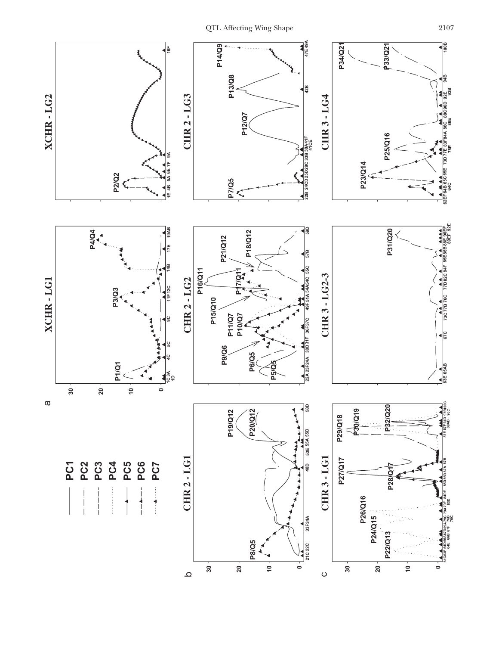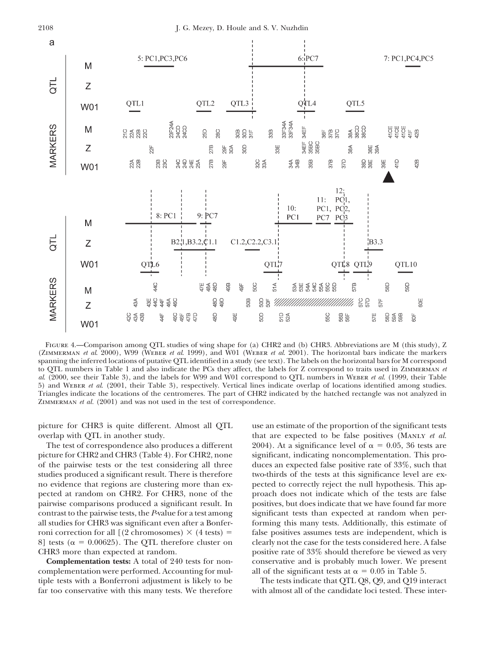

FIGURE 4.—Comparison among QTL studies of wing shape for (a) CHR2 and (b) CHR3. Abbreviations are M (this study), Z (Zimmerman *et al*. 2000), W99 (Weber *et al*. 1999), and W01 (Weber *et al*. 2001). The horizontal bars indicate the markers spanning the inferred locations of putative QTL identified in a study (see text). The labels on the horizontal bars for M correspond to QTL numbers in Table 1 and also indicate the PCs they affect, the labels for Z correspond to traits used in Zimmerman *et al*. (2000, see their Table 3), and the labels for W99 and W01 correspond to QTL numbers in Weber *et al*. (1999, their Table 5) and Weber *et al*. (2001, their Table 3), respectively. Vertical lines indicate overlap of locations identified among studies. Triangles indicate the locations of the centromeres. The part of CHR2 indicated by the hatched rectangle was not analyzed in Zimmerman *et al.* (2001) and was not used in the test of correspondence.

picture for CHR3 is quite different. Almost all QTL use an estimate of the proportion of the significant tests overlap with QTL in another study. that are expected to be false positives (MANLY *et al.*)

The test of correspondence also produces a different picture for CHR2 and CHR3 (Table 4). For CHR2, none significant, indicating noncomplementation. This proof the pairwise tests or the test considering all three duces an expected false positive rate of 33%, such that studies produced a significant result. There is therefore two-thirds of the tests at this significance level are exno evidence that regions are clustering more than ex- pected to correctly reject the null hypothesis. This appected at random on CHR2. For CHR3, none of the proach does not indicate which of the tests are false pairwise comparisons produced a significant result. In positives, but does indicate that we have found far more contrast to the pairwise tests, the *P*-value for a test among significant tests than expected at random when perall studies for CHR3 was significant even after a Bonfer- forming this many tests. Additionally, this estimate of roni correction for all  $[(2 \text{ chromosomes}) \times (4 \text{ tests}) =$ 8] tests ( $\alpha$  = 0.00625). The QTL therefore cluster on CHR3 more than expected at random. positive rate of 33% should therefore be viewed as very

complementation were performed. Accounting for multiple tests with a Bonferroni adjustment is likely to be The tests indicate that QTL Q8, Q9, and Q19 interact far too conservative with this many tests. We therefore with almost all of the candidate loci tested. These inter-

2004). At a significance level of  $\alpha = 0.05$ , 36 tests are false positives assumes tests are independent, which is clearly not the case for the tests considered here. A false **Complementation tests:** A total of 240 tests for non-<br>conservative and is probably much lower. We present all of the significant tests at  $\alpha = 0.05$  in Table 5.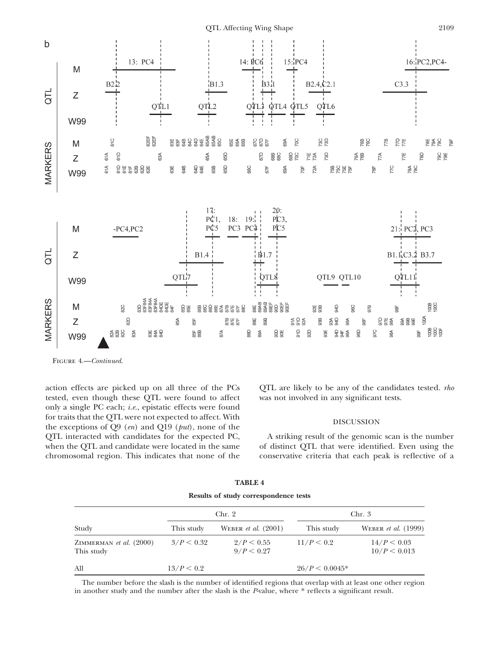

Figure 4.—*Continued*.

tested, even though these QTL were found to affect was not involved in any significant tests. only a single PC each; *i.e.*, epistatic effects were found for traits that the QTL were not expected to affect. With <br>the exceptions of Q9 (*en*) and Q19 (*put*), none of the DISCUSSION QTL interacted with candidates for the expected PC, A striking result of the genomic scan is the number

action effects are picked up on all three of the PCs QTL are likely to be any of the candidates tested. *rho*

when the QTL and candidate were located in the same of distinct QTL that were identified. Even using the chromosomal region. This indicates that none of the conservative criteria that each peak is reflective of a

|                                         |            | resume or state, correspondence tests |                  |                             |  |
|-----------------------------------------|------------|---------------------------------------|------------------|-----------------------------|--|
|                                         |            | Chr. 2                                | Chr. 3           |                             |  |
| Study                                   | This study | WEBER <i>et al.</i> $(2001)$          | This study       | WEBER et al. $(1999)$       |  |
| ZIMMERMAN et al. $(2000)$<br>This study | 3/P < 0.32 | 2/P < 0.55<br>9/P < 0.27              | 11/P < 0.2       | 14/P < 0.03<br>10/P < 0.013 |  |
| All                                     | 13/P < 0.2 |                                       | $26/P < 0.0045*$ |                             |  |

**TABLE 4 Results of study correspondence tests**

The number before the slash is the number of identified regions that overlap with at least one other region in another study and the number after the slash is the *P*-value, where \* reflects a significant result.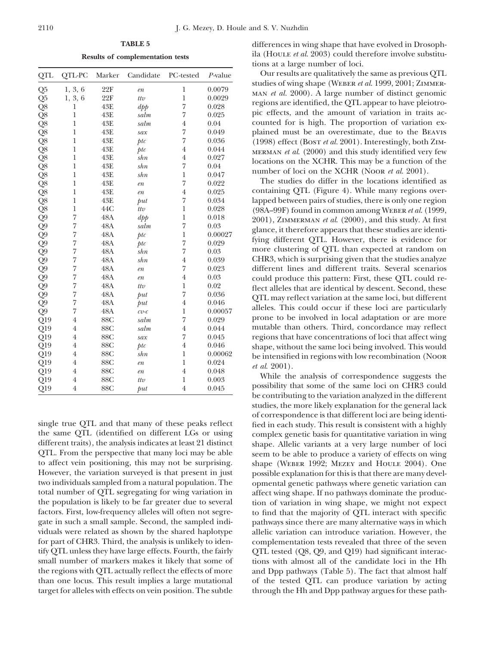| <b>QTL</b>      | QTL-PC                  |                | Marker Candidate PC-tested |                | <i>P</i> -value | Our results are qualitatively the same as previous QTL      |
|-----------------|-------------------------|----------------|----------------------------|----------------|-----------------|-------------------------------------------------------------|
| $\overline{Q}5$ | 1, 3, 6                 | 22F            | en                         | 1              | 0.0079          | studies of wing shape (WEBER et al. 1999, 2001; ZIMMER-     |
| Q5              | 1, 3, 6                 | 22F            | $ttv$                      |                | 0.0029          | MAN et al. 2000). A large number of distinct genomic        |
| $Q8$            | 1                       | $43E$          | dpp                        | 7              | 0.028           | regions are identified, the QTL appear to have pleiotro-    |
| $\mathbb{Q}^8$  | 1                       | $43E$          | salm                       | 7              | 0.025           | pic effects, and the amount of variation in traits ac-      |
| $\mathrm{Q}8$   | 1                       | 43E            | salm                       | $\overline{4}$ | 0.04            | counted for is high. The proportion of variation ex-        |
| $Q8$            | 1                       | 43E            | sax                        | 7              | 0.049           | plained must be an overestimate, due to the BEAVIS          |
| $\mathrm{Q}8$   | 1                       | $43E$          | ptc                        | 7              | 0.036           | (1998) effect (Bost et al. 2001). Interestingly, both ZIM-  |
| $\mathrm{Q}8$   | 1                       | 43E            | ptc                        | $\overline{4}$ | $\,0.044\,$     | MERMAN et al. (2000) and this study identified very few     |
| $\mathrm{Q}8$   | 1                       | 43E            | shn                        | 4              | 0.027           |                                                             |
| $\mathrm{Q}8$   | 1                       | $43E$          | shn                        | 7              | 0.04            | locations on the XCHR. This may be a function of the        |
| $\mathrm{Q}8$   | 1                       | 43E            | shn                        | 1              | 0.047           | number of loci on the XCHR (Noor et al. 2001).              |
| $\mathrm{Q}8$   | 1                       | $43E$          | $\emph{en}$                | 7              | 0.022           | The studies do differ in the locations identified as        |
| $\mathrm{Q}8$   | 1                       | 43E            | en                         | $\overline{4}$ | 0.025           | containing QTL (Figure 4). While many regions over-         |
| $Q8$            | 1                       | 43E            | put                        | 7              | 0.034           | lapped between pairs of studies, there is only one region   |
| $\mathrm{Q}8$   | 1                       | $44\mathrm{C}$ | ttv                        | 1              | 0.028           | (98A–99F) found in common among WEBER et al. (1999,         |
| $Q^0$           | 7                       | 48A            | dpp                        | 1              | 0.018           | 2001), ZIMMERMAN et al. (2000), and this study. At first    |
| $\mathbf{Q}9$   | 7                       | 48A            | salm                       | 7              | 0.03            | glance, it therefore appears that these studies are identi- |
| Q <sup>9</sup>  | 7                       | 48A            | ptc                        | 1              | 0.00027         |                                                             |
| $\mathbf{Q}9$   | 7                       | 48A            | ptc                        | 7              | 0.029           | fying different QTL. However, there is evidence for         |
| $\mathbf{Q}9$   | $\overline{7}$          | $48\mathrm{A}$ | shn                        | 7              | 0.03            | more clustering of QTL than expected at random on           |
| $\mathbf{Q}9$   | $\overline{7}$          | 48A            | shn                        | $\overline{4}$ | 0.039           | CHR3, which is surprising given that the studies analyze    |
| $\mathrm{Q}9$   | 7                       | 48A            | en                         | 7              | 0.023           | different lines and different traits. Several scenarios     |
| $\mathbf{Q}9$   | 7                       | $48\mathrm{A}$ | en                         | $\overline{4}$ | 0.03            | could produce this pattern: First, these QTL could re-      |
| $\mathbf{Q}9$   | 7                       | 48A            | ttv                        | 1              | 0.02            | flect alleles that are identical by descent. Second, these  |
| $\mathrm{Q}9$   | 7                       | 48A            | put                        | 7              | 0.036           | QTL may reflect variation at the same loci, but different   |
| $\mathbf{Q}9$   | 7                       | 48A            | put                        | $\overline{4}$ | 0.046           | alleles. This could occur if these loci are particularly    |
| $\mathbf{Q}9$   | 7                       | 48A            | $c\upsilon\textrm{-}c$     | 1              | 0.00057         |                                                             |
| Q19             | $\overline{\mathbf{4}}$ | 88C            | salm                       | 7              | 0.029           | prone to be involved in local adaptation or are more        |
| Q19             | $\overline{4}$          | 88C            | salm                       | $\overline{4}$ | 0.044           | mutable than others. Third, concordance may reflect         |
| Q19             | $\overline{4}$          | 88C            | sax                        | 7              | 0.045           | regions that have concentrations of loci that affect wing   |
| Q19             | $\overline{4}$          | <b>88C</b>     | ptc                        | 4              | 0.046           | shape, without the same loci being involved. This would     |
| Q19             | 4                       | 88C            | shn                        | 1              | 0.00062         | be intensified in regions with low recombination (Noor      |
| Q19             | 4                       | <b>88C</b>     | $\emph{en}$                | 1              | 0.024           | <i>et al.</i> 2001).                                        |
| Q19             | 4                       | 88C            | en                         | $\overline{4}$ | 0.048           | While the analysis of correspondence suggests the           |
| Q19             | 4                       | <b>88C</b>     | ttv                        | 1              | 0.003           | possibility that some of the same loci on CHR3 could        |
| Q19             | 4                       | 88C            | put                        | $\overline{4}$ | 0.045           |                                                             |

different traits), the analysis indicates at least 21 distinct shape. Allelic variants at a very large number of loci QTL. From the perspective that many loci may be able seem to be able to produce a variety of effects on wing to affect vein positioning, this may not be surprising. shape (WEBER 1992; MEZEY and Houle 2004). One However, the variation surveyed is that present in just possible explanation for this is that there are many develtwo individuals sampled from a natural population. The opmental genetic pathways where genetic variation can total number of QTL segregating for wing variation in affect wing shape. If no pathways dominate the produc-<br>the population is likely to be far greater due to several tion of variation in wing shape, we might not expect the population is likely to be far greater due to several tion of variation in wing shape, we might not expect<br>factors. First, low-frequency alleles will often not segre- to find that the majority of OTL interact with spec gate in such a small sample. Second, the sampled indi- pathways since there are many alternative ways in which viduals were related as shown by the shared haplotype allelic variation can introduce variation. However, the for part of CHR3. Third, the analysis is unlikely to iden- complementation tests revealed that three of the seven tify QTL unless they have large effects. Fourth, the fairly QTL tested (Q8, Q9, and Q19) had significant interacsmall number of markers makes it likely that some of tions with almost all of the candidate loci in the Hh the regions with QTL actually reflect the effects of more and Dpp pathways (Table 5). The fact that almost half than one locus. This result implies a large mutational of the tested QTL can produce variation by acting target for alleles with effects on vein position. The subtle through the Hh and Dpp pathway argues for these path-

**TABLE 5** differences in wing shape that have evolved in Drosoph-**Results of complementation tests** ila (HOULE *et al.* 2003) could therefore involve substitutions at a large number of loci.

possibility that some of the same loci on CHR3 could be contributing to the variation analyzed in the different studies, the more likely explanation for the general lack of correspondence is that different loci are being identisingle true QTL and that many of these peaks reflect fied in each study. This result is consistent with a highly<br>the same QTL (identified on different LGs or using complex genetic basis for quantitative variation in wing complex genetic basis for quantitative variation in wing to find that the majority of QTL interact with specific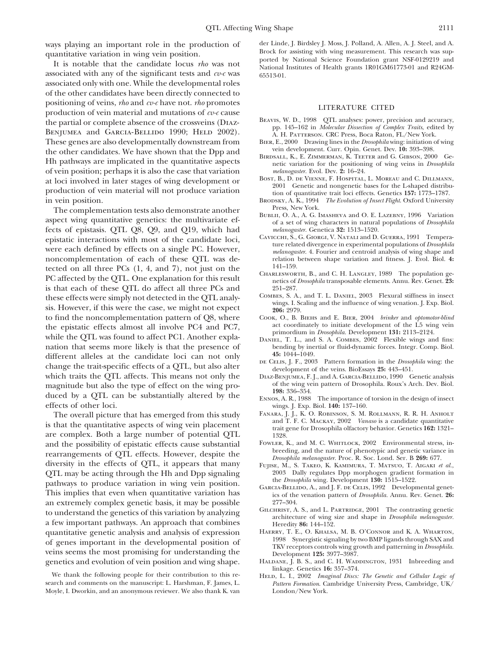associated with any of the significant tests and  $cv-c$  was  $65513-01$ . associated only with one. While the developmental roles of the other candidates have been directly connected to positioning of veins, *rho* and *cv-c* have not. *rho* promotes LITERATURE CITED<br>production of vein material and mutations of *cv-c* cause<br>the partial or complete absence of the crossveins (D147-<br>BEAVIS, W. D., 1998 QTL an the partial or complete absence of the crossveins (DIAZ-<br>BEAVIS, W. D., 1998 QTL analyses: power, precision and accuracy,<br>BENJUMEA and GARCIA-BELLIDO 1990; HELD 2002).<br>These genes are also developmentally downstream from<br>B These genes are also developmentally downstream from BIER, E., 2000 Drawing lines in the *Drosophila* wing: initiation of the other candidates. We have shown that the Dpp and vein development. Curr. Opin. Genet. Dev. 10: 3 the other candidates. We have shown that the Dpp and<br>
Hh pathways are implicated in the quantitative aspects<br>
of vein position; perhaps it is also the case that variation<br>
of vein position; perhaps it is also the case that of vein position; perhaps it is also the case that variation *melanogaster.* Evol. Dev. **2:** 16–24. at loci involved in later stages of wing development or<br>production of vein material will not produce variation<br>in vein position.<br>BRODSKY, A. K., 1994 The Evolution of Insect Flight. Oxford University<br>m vein position.

The complementation tests also demonstrate another<br>aspect wing quantitative genetics: the multivariate ef-<br>fects of epistasis. OTL O8, O9, and O19, which had<br>metanogaster. Genetica 32: 1513-1520. fects of epistasis. QTL Q8, Q9, and Q19, which had *melanogaster.* Genetica **32:** 1513–1520. epistatic interactions with most of the candidate loci,<br>were each defined by effects on a single PC. However,<br>noncomplementation of each of these OTL was de-<br>noncomplementation of each of these OTL was denoncomplementation of each of these QTL was de-<br> $\frac{141-159}{141-159}$ tected on all three PCs (1, 4, and 7), not just on the<br>PC affected by the QTL. One explanation for this result<br>PC affected by the QTL. One explanation for this result<br>netics of *Drosophila* transposable elements. Annu. Rev is that each of these QTL do affect all three PCs and<br>these effects were simply not detected in the OTI analy COMBES, S. A., and T. L. DANIEL, 2003 Flexural stiffness in insect these effects were simply not detected in the QTL analy-<br>sis. However, if this were the case, we might not expect<br>to find the noncomplementation pattern of Q8, where<br>cook, O., B. BIEHS and E. BIER, 2004 brinker and optomot to find the noncomplementation pattern of Q8, where Cook, O., B. BIEHS and E. BIER, 2004 *brinker* and *optomotor-blind*<br>the enistatic effects almost all involve PC4 and PC7 act coordinately to initiate development of the the epistatic effects almost all involve PC4 and PC7,<br>while the QTL was found to affect PC1. Another explane to the state of the L3 was found to affect PC1. Another explane to the Danuary of the L3 was found to affect PC1. nation that seems more likely is that the presence of bending by ine<br>different alleles at the candidate loci can not only. 45:1044-1049. different alleles at the candidate loci can not only<br>change the trait-specific effects of a QTL, but also alter<br>which traits the QTL affects. This means not only the<br>DIAZ-BENJUMEA, F. J., and A. GARCIA-BELLIDO, 1990 Geneti which traits the QTL affects. This means not only the DIAZ-BENJUMEA, F. J., and A. GARCIA-BELLIDO, 1990 Genetic analysis magnitude but also the type of effect on the wing pro-<br>of the wing vein pattern of Drosophila. Roux's magnitude but also the type of effect on the wing pro-<br>  $\frac{1}{198}$ : 336–354. duced by a QTL can be substantially altered by the ENNOS, A. R., 1988 The importance of torsion in the design of insect effects of other loci.

is that the quantitative aspects of wing vein placement<br>are complex. Both a large number of potential OTL and the complexe of trait gene for Drosophila olfactory behavior. Genetics **162:** 1321– are complex. Both a large number of potential QTL 1328.<br>and the possibility of epistatic effects cause substantial FowLER, K., and M. C. WHITLOCK, 2002 Environmental stress, inand the possibility of epistatic effects cause substantial Fowler, K., and M. C. WHITLOCK, 2002 Environmental stress, in-<br>receding, and the nature of phenotypic and genetic variance in breeding, and the nature of phenotypic and genetic variance in a diversity in the effects of QTL, it appears that many *Drosophila melanogaster*. Proc. R. Soc. Lond. Ser. B 269: 677.<br>
Fujise, M., S. TAKEO, K. KAMIMURA, T. diversity in the effects of QTL, it appears that many Fujise, M., S. TAKEO, K. KAMIMURA, T. MATSUO, T. AIGAKI *et al.*, OTL may be acting through the Hh and Dpp signaling 2003 Dally regulates Dpp morphogen gradient formati QTL may be acting through the Hh and Dpp signaling 2003 Dally regulates Dpp morphogen gradient nothing to produce variation in wing voin position pathways to produce variation in wing vein position.<br>This implies that even when quantitative variation has<br>an extremely complex genetic basis it may be possible<br> $\frac{277-304}{277-304}$ . an extremely complex genetic basis, it may be possible  $^{277-304}$ .<br>
CILCHRIST, A. S., and L. PARTRIDGE, 2001 The contrasting genetic to understand the genetics of this variation by analyzing<br>a few important pathways. An approach that combines<br>quantitative genetic analysis and analysis of expression<br>HAERRY, T. E., O. KHALSA, M. B. O'CONNOR and K. A. WHAR quantitative genetic analysis and analysis of expression HAERRY, T. E., O. KHALSA, M. B. O'CONNOR and K. A. WHARTON,<br>  $\frac{1998}{2}$  Synergistic signaling by two BMP ligands through SAX and of genes important in the developmental position of<br>
TKV receptors controls wing growth and patterning in *Drosophila*.<br>
Development **125:** 3977–3987. genetics and evolution of vein position and wing shape. HALDANE, J. B. S., and C. H. WADDINGTON, 1931 Inbreeding and

We thank the following people for their contribution to this re-<br>search and comments on the manuscript: L. Harshman, F. James, L. Pattern Formation. Cambridge University Press, Cambridge, UK/ Moyle, I. Dworkin, and an anonymous reviewer. We also thank K. van London/New York.

ways playing an important role in the production of der Linde, J. Birdsley J. Moss, J. Polland, A. Allen, A. J. Steel, and A. approximately registing the production of Brock for assisting with wing measurement. This resear quantitative variation in wing vein position.<br>It is notable that the candidate locus *rho* was not<br>It is notable that the candidate locus *rho* was not<br>National Institutes of Health grants 1R01GM61773-01 and R24GM-

- 
- 
- 
- 
- BRODSKY, A. K., 1994 *The Evolution of Insect Flight*. Oxford University<br>Press, New York.
- 
- 
- 
- 
- 
- 
- 
- 
- wings. J. Exp. Biol. **140:** 137-160.
- The overall picture that has emerged from this study<br>that the successive speaks of virta with placement and T. F. C. MACKAY, 2002 Vanaso is a candidate quantitative
	-
	-
	-
	-
	-
	- linkage. Genetics **16:** 357–374.
	- Pattern Formation. Cambridge University Press, Cambridge, UK/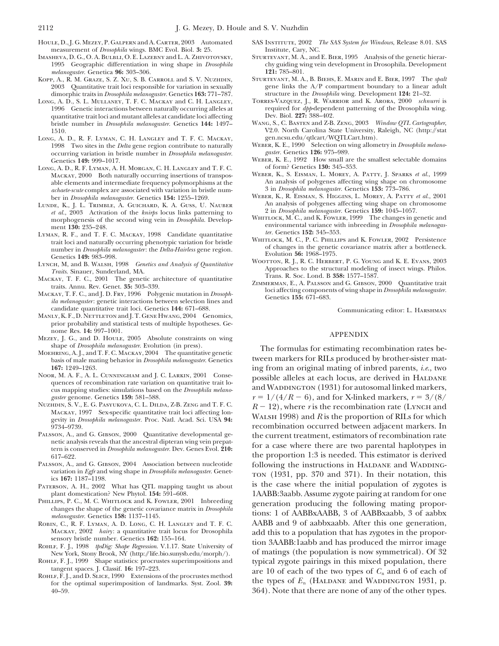- measurement of *Drosophila* wings. BMC Evol. Biol. **3:** 25. Institute, Cary, NC.
- 1995 Geographic differentiation in wing shape in Drosophila *melanogaster.* Genetica **96:** 303–306. **121:** 785–801.
- 2003 Quantitative trait loci responsible for variation in sexually gene links the  $A/P$  compartment boundary to a linear dimorphic traits in *Drosophila melanogaster*. Genetics **163:** 771–787. structure in the *Drosophila*
- 1996 Genetic interactions between naturally occurring alleles at required for *dpp*-depend quantitative trait loci and mutant alleles at candidate loci affecting Dev. Biol. 227: 388–402. quantitative trait loci and mutant alleles at candidate loci affecting Dev. Biol. 227: 388–402.<br>
bristle number in *Drosobhila melanogaster.* Genetics 144: 1497– WANG, S., C. BASTEN and Z-B. ZENG, 2003 Window OTL Cartograp bristle number in *Drosophila melanogaster*. Genetics 144: 1497-
- LONG, A. D., R. F. LYMAN, C. H. LANGLEY and T. F. C. MACKAY, gen.ncsu.edu/qtlcart/WQTLCart.htm).<br>1998 Two sites in the *Delta gene* region contribute to naturally WEBER, K. E., 1990 Selection on wing allometry in *Drosophi* 1998 Two sites in the *Delta* gene region contribute to naturally WEBER, K. E., 1990 Selection on v<br> *occurring variation in bristle number in <i>Drosophila melanogaster*. *gaster*. Genetics **126:** 975–989. occurring variation in bristle number in *Drosophila melanogaster*. Genetics 149: 999-1017.
- LONG, A. D., R. F. LYMAN, A. H. MORGAN, C. H. LANGLEY and T. F. C. <sup>of form?</sup> Genetics 130: 345–353.<br>MACKAY 2000 Both naturally occurring insertions of transpos-<br>WEBER, K., S. EISMAN, L. MOREY, A. PATTY, J. SPARKS et al., able elements and intermediate frequency polymorphisms at the An analysis of polygenes affecting wing shape on c<br>
achaete-scute complex are associated with variation in bristle num-<br>
<sup>3</sup> in *Drosophila melanogaster*. Genet 3 in *Drosophila melanogaster.* Genetics **153:** 773–786. *achaete-scute* complex are associated with variation in bristle num-
- LUNDE, K., J. L. TRIMBLE, A. GUICHARD, K. A. GUSS, U. NAUBER An analysis of polygenes affecting wing shape on chromosome of the knight shape of al. 2 in Drosophila melanogaster. Genetics 159: 1045–1057. et al., 2003 Activation of the *knirps* locus links patterning to
- LYMAN, R. F., and T. F. C. MACKAY, 1998 Candidate quantitative *ter*. Genetics 152: 345–353.<br>
trait loci and naturally occurring phenotypic variation for bristle<br>
number in *Drosophila melanogaster*: the *Delta-Hairless* g
- 
- 
- candidate quantitative trait loci. Genetics **144:** 671–688. Communicating editor: L. Harshman
- MANLY, K. F., D. NETTLETON and J. T. GENE HWANG, 2004 Genomics, prior probability and statistical tests of multiple hypotheses. Ge-
- nome Res. **14:** 997–1001. <br>Mezey, J. G., and D. Houle, 2005 Absolute constraints on wing APPENDIX
- 
- gaster genome. Genetics 159: 581–588.<br>Nuzhdin, S. V., E. G. Pasyukova, C. L. Dilda, Z-B. Zeng and T. F. C.
- 
- 
- 
- PATERSON, A. H., 2002 What has QTL mapping taught us about plant domestication? New Phytol. 154: 591-608.
- 
- 
- 
- 
- 40–59. 364). Note that there are none of any of the other types.
- Houle, D., J. G. Mezey, P. Galpern and A. Carter, 2003 Automated SAS Institute, 2002 *The SAS System for Windows*, Release 8.01. SAS
	- STURTEVANT, M. Á., and E. BIER, 1995 Analysis of the genetic hierar-<br>chy guiding wing vein development in Drosophila. Development
	- STURTEVANT, M. A., B. BIEHS, E. MARIN and E. BIER, 1997 The *spalt* gene links the A/P compartment boundary to a linear adult
- dimorphic traits in *Drosophila melanogaster.* Genetics **163:** 771–787. structure in the *Drosophila* wing. Development **124:** 21–32. Long, A. D., S. L. Mullaney, T. F. C. Mackay and C. H. Langley, Torres-Vazquez, J., R. Warrior and K. Arora, 2000 *schnurri* is 1996 Genetic interactions between naturally occurring alleles at required for *dpp*-dependent
	- 1510. V2.0. North Carolina State University, Raleigh, NC (http://stat<br>
	6. A. D., R. F. LYMAN, C. H. LANGLEY and T. F. C. MACKAY, gen.ncsu.edu/qtlcart/WQTLCart.htm).
		-
		- WEBER, K. E., 1992 How small are the smallest selectable domains of form? Genetics **130:** 345–353.
	- Mackay, 2000 Both naturally occurring insertions of transpos- Weber, K., S. Eisman, L. Morey, A. Patty, J. Sparks *et al.*, 1999
	- ber in *Drosophila melanogaster*. Genetics 154: 1255–1269. WEBER, K., R. EISMAN, S. HIGGINS, L. MOREY, A. PATTY *et al.*, 2001 **154:** 11. TRIMBLE A. GUICHARD K. A. GUISS II NATIRER. An analysis of polygenes affecting wing
- morphogenesis of the second wing vein in *Drosophila*. Develop-<br>ment 130: 235–248. The changes in genetic and<br>ment 130: 235–248. ment 130: 235–248.<br>
ment 130: 235–248.<br>
LYMAN, R. F., and T. F. C. MACKAY, 1998 Candidate quantitative *ter*. Genetics 152: 345–353.
	-
	-
	-

shape of *Drosophila melanogaster*. Evolution (in press).<br>MOEHRING, A. J., and T. F. C. MACKAY, 2004 The quantitative genetic<br>basis of male mating behavior in *Drosophila melanogaster*. Genetics tween markers for RILs prod basis of male mating behavior in *Drosophila melanogaster*. Genetics tween markers for RILs produced by brother-sister mat-<br>167: 1249–1263. **Example matrices** the state of the sister matrices in the from an original matrin **167:** 1249–1263. ing from an original mating of inbred parents, *i.e*., two R, M. A. F., A. L. CUNNINGHAM and J. C. LARKIN, 2001 Conse-<br>quences of recombination rate variation on quantitative trait lo-<br>cus mapping studies: simulations based on the *Drosophila melano*-<br>and WADDINGTON (1931) for aut  $= 1/(4/R - 6)$ , and for X-linked markers,  $r = 3/(8/R)$ HDIN, S. V., E. G. PASYUKOVA, C. L. DILDA, Z-B. ZENG and T. F. C.  $R-12$ ), where *r* is the recombination rate (LYNCH and MACKAY, 1997 Sex-specific quantitative trait loci affecting lon-<br>MacKAY, 1997 Sex-specific quantita MACKAY, 1997 Sex-specific quantitative trait foci affecting fon-<br>gevity in *Drosophila melanogaster*. Proc. Natl. Acad. Sci. USA **94:**<br>precombination occurred between adjacent markers. In 9734–9739.<br>PALSSON, A., and G. GIBSON, 2000 Quantitative developmental getable referent treatment estimators of recombination rate SSON, A., and G. GIBSON, 2000 Quantitative developmental ge-<br>netic analysis reveals that the ancestral dipteran wing vein prepat-<br>tern is conserved in *Drosophila melanogaster*. Dev. Genes Evol. 210:<br>for a case where there 617–622.<br>
617–622. the proportion 1:3 is needed. This estimator is derived<br>
617–622.<br>
617–622.<br>
618 Following the instructions in HALDANE and WADDING-SSON, A., and G. GIBSON, 2004 Association between nucleotide following the instructions in HALDANE and WADDING-<br>variation in *Egfr* and wing shape in *Drosophila melanogaster*. Genet-<br> $TQV$  (1021 and 270 and 271). In thei variation in *Egrand* wing shape in *Drosophila melanogaster*. Genet-<br>ics 167: 1187–1198.<br>**ERSON A H** 2002 What has OTL manning taught us about is the case where the initial population of zygotes is plant domestication? New Phytol. **154:** 591–608. 1AABB:3aabb. Assume zygote pairing at random for one<br>PHILLIPS, P. C., M. C. WHITLOCK and K. FOWLER, 2001 Inbreeding openeration producing the following mating propor-PHILLIPS, P. C., M. C. WHITLOCK and K. FOWLER, 2001 Inbreeding<br>changes the shape of the genetic covariance matrix in *Drosophila* melanogaster. Genetics 158: 1137–1145.<br>ROBIN, C., R. F. LYMAN, A. D. LONG, C. H. LANGLEY and IN, C., R. F. LYMAN, A. D. LONG, C. H. LANGLEY and T. F. C. AABB and 9 of aabbxaabb. After this one generation,<br>MACKAY, 2002 *hairy*: a quantitative trait locus for Drosophila add this to a population that has zygotes in t MACKAY, 2002 *hairy*: a quantitative trait locus for Drosophila<br>sensory bristle number. Genetics 162: 155-164.<br>ROHLF, F. J., 1998 *the Regression*. V.1.17. State University of the 3AABB:1aabb and has produced the mirror im New York, Stony Brook, NY (http://life.bio.sunysb.edu/morph/). of matings (the population is now symmetrical). Of 32<br>ROHLF, F. J., 1999 Shape statistics: procrustes superimpositions and typical zygote pairings in this mixe ROHLF, F. J., 1999 Shape statistics: procrustes superimpositions and<br>typical zygote pairings in this mixed population, there<br>tangent spaces. J. Classif. 16: 197-223.<br>ROHLF, F. J., and D. SLICE, 1990 Extensions of the proc For the optimal superimposition of landmarks. Syst. Zool. **39:** the types of  $E_n$  (HALDANE and WADDINGTON 1931, p.